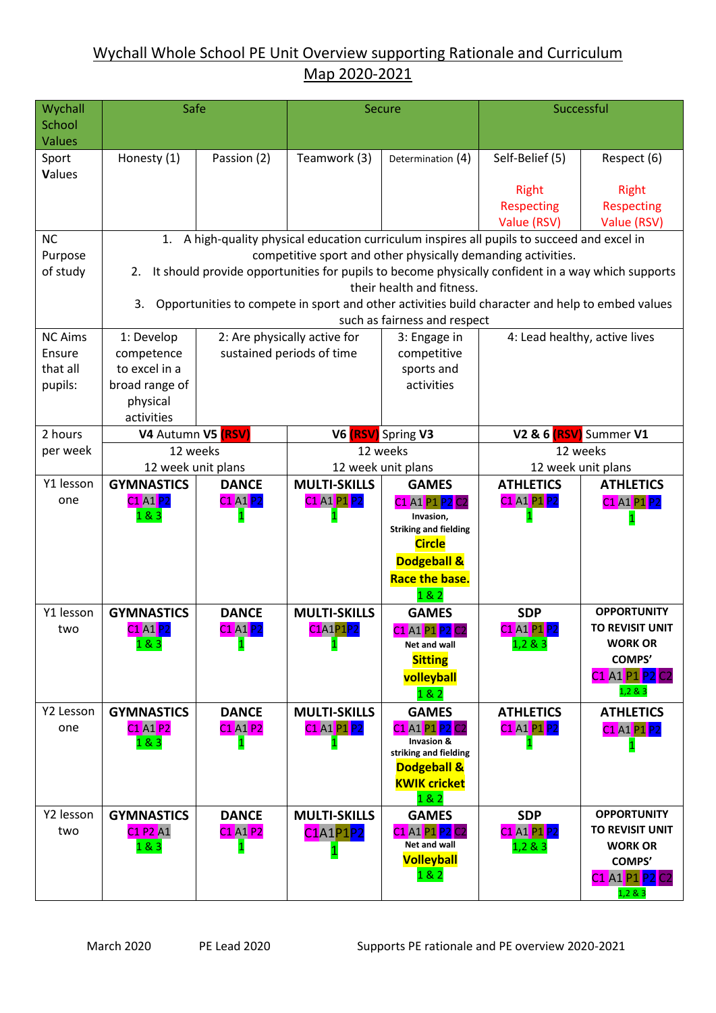# Wychall Whole School PE Unit Overview supporting Rationale and Curriculum Map 2020-2021

| Wychall                 | Safe                                                                                                    |                                                                                                       | <b>Secure</b>                                   |                                              | Successful                                   |                               |  |  |  |
|-------------------------|---------------------------------------------------------------------------------------------------------|-------------------------------------------------------------------------------------------------------|-------------------------------------------------|----------------------------------------------|----------------------------------------------|-------------------------------|--|--|--|
| School<br><b>Values</b> |                                                                                                         |                                                                                                       |                                                 |                                              |                                              |                               |  |  |  |
| Sport                   | Honesty (1)                                                                                             | Passion (2)                                                                                           | Teamwork (3)                                    | Determination (4)                            | Self-Belief (5)                              | Respect (6)                   |  |  |  |
| Values                  |                                                                                                         |                                                                                                       |                                                 |                                              |                                              |                               |  |  |  |
|                         |                                                                                                         |                                                                                                       |                                                 |                                              | <b>Right</b>                                 | <b>Right</b>                  |  |  |  |
|                         |                                                                                                         |                                                                                                       |                                                 |                                              | <b>Respecting</b>                            | <b>Respecting</b>             |  |  |  |
|                         |                                                                                                         |                                                                                                       |                                                 |                                              | Value (RSV)                                  | Value (RSV)                   |  |  |  |
| <b>NC</b>               | 1. A high-quality physical education curriculum inspires all pupils to succeed and excel in             |                                                                                                       |                                                 |                                              |                                              |                               |  |  |  |
| Purpose                 | competitive sport and other physically demanding activities.                                            |                                                                                                       |                                                 |                                              |                                              |                               |  |  |  |
| of study                | It should provide opportunities for pupils to become physically confident in a way which supports<br>2. |                                                                                                       |                                                 |                                              |                                              |                               |  |  |  |
|                         |                                                                                                         | their health and fitness.                                                                             |                                                 |                                              |                                              |                               |  |  |  |
|                         |                                                                                                         | Opportunities to compete in sport and other activities build character and help to embed values<br>3. |                                                 |                                              |                                              |                               |  |  |  |
| <b>NC Aims</b>          | 1: Develop                                                                                              |                                                                                                       |                                                 | such as fairness and respect<br>3: Engage in |                                              |                               |  |  |  |
| Ensure                  | competence                                                                                              | 2: Are physically active for                                                                          |                                                 | competitive                                  | 4: Lead healthy, active lives                |                               |  |  |  |
| that all                | to excel in a                                                                                           |                                                                                                       | sustained periods of time                       |                                              |                                              |                               |  |  |  |
| pupils:                 | broad range of                                                                                          |                                                                                                       |                                                 |                                              |                                              |                               |  |  |  |
|                         | physical                                                                                                |                                                                                                       |                                                 | activities                                   |                                              |                               |  |  |  |
|                         | activities                                                                                              |                                                                                                       |                                                 |                                              |                                              |                               |  |  |  |
| 2 hours                 | V4 Autumn V5 (RSV)                                                                                      |                                                                                                       |                                                 | V6 <b>(RSV)</b> Spring V3                    | V2 & 6 (RSV) Summer V1                       |                               |  |  |  |
| per week                |                                                                                                         | 12 weeks                                                                                              |                                                 | 12 weeks                                     |                                              | 12 weeks                      |  |  |  |
|                         | 12 week unit plans                                                                                      |                                                                                                       | 12 week unit plans                              |                                              | 12 week unit plans                           |                               |  |  |  |
| Y1 lesson               | <b>GYMNASTICS</b>                                                                                       | <b>DANCE</b>                                                                                          | <b>MULTI-SKILLS</b>                             | <b>GAMES</b>                                 | <b>ATHLETICS</b>                             | <b>ATHLETICS</b>              |  |  |  |
| one                     | C1 A1 P2                                                                                                | C1 A1 P2                                                                                              | C1 A1 P1 P2                                     | C1 A1 P1 P2                                  | C1 A1 P1 P2                                  | C1 A1 P1 <mark>P2</mark>      |  |  |  |
|                         | 183                                                                                                     |                                                                                                       |                                                 | Invasion,<br><b>Striking and fielding</b>    |                                              | $\mathbf{1}$                  |  |  |  |
|                         |                                                                                                         |                                                                                                       |                                                 | <b>Circle</b>                                |                                              |                               |  |  |  |
|                         |                                                                                                         |                                                                                                       |                                                 | <b>Dodgeball &amp;</b>                       |                                              |                               |  |  |  |
|                         |                                                                                                         |                                                                                                       |                                                 | <b>Race the base.</b>                        |                                              |                               |  |  |  |
|                         |                                                                                                         |                                                                                                       |                                                 | 18.2                                         |                                              |                               |  |  |  |
| Y1 lesson               | <b>GYMNASTICS</b>                                                                                       | <b>DANCE</b>                                                                                          | <b>MULTI-SKILLS</b>                             | <b>GAMES</b>                                 | <b>SDP</b>                                   | <b>OPPORTUNITY</b>            |  |  |  |
| two                     | C1 A1 P2                                                                                                | <b>C1 A1 P2</b>                                                                                       | C1A1P1P2                                        | C1 A1 P1 P2 C2                               | C1 A1 P1 P2                                  | <b>TO REVISIT UNIT</b>        |  |  |  |
|                         | 1 & 83                                                                                                  | $\mathbf{1}$                                                                                          | $\mathbf{1}$                                    | Net and wall                                 | 1,2 & 8 & 3                                  | <b>WORK OR</b>                |  |  |  |
|                         |                                                                                                         |                                                                                                       |                                                 | <b>Sitting</b>                               |                                              | <b>COMPS'</b>                 |  |  |  |
|                         |                                                                                                         |                                                                                                       |                                                 | volleyball                                   |                                              | C1 A1 P1 P2 C2<br>1,2 & 8 & 3 |  |  |  |
| Y2 Lesson               |                                                                                                         |                                                                                                       |                                                 | 182<br><b>GAMES</b>                          |                                              |                               |  |  |  |
| one                     | <b>GYMNASTICS</b><br><b>C1 A1 P2</b>                                                                    | <b>DANCE</b><br>C1 A1 P2                                                                              | <b>MULTI-SKILLS</b><br>C1 A1 P1 <mark>P2</mark> | C1 A1 P1 <mark>P2</mark> C2                  | <b>ATHLETICS</b><br>C1 A1 P1 <mark>P2</mark> | <b>ATHLETICS</b>              |  |  |  |
|                         | 183                                                                                                     | $\mathbf 1$                                                                                           |                                                 | <b>Invasion &amp;</b>                        |                                              | C1 A1 P1 P2<br>1              |  |  |  |
|                         |                                                                                                         |                                                                                                       |                                                 | striking and fielding                        |                                              |                               |  |  |  |
|                         |                                                                                                         |                                                                                                       |                                                 | <b>Dodgeball &amp;</b>                       |                                              |                               |  |  |  |
|                         |                                                                                                         |                                                                                                       |                                                 | <b>KWIK cricket</b><br>182                   |                                              |                               |  |  |  |
| Y2 lesson               | <b>GYMNASTICS</b>                                                                                       | <b>DANCE</b>                                                                                          | <b>MULTI-SKILLS</b>                             | <b>GAMES</b>                                 | <b>SDP</b>                                   | <b>OPPORTUNITY</b>            |  |  |  |
| two                     | C1 P2 A1                                                                                                | C1 A1 P2                                                                                              | C1A1P1P2                                        | C1 A1 P1 P2 C2                               | C1 A1 P1 <mark>P2</mark>                     | TO REVISIT UNIT               |  |  |  |
|                         | 183                                                                                                     |                                                                                                       | $\mathbf{1}$                                    | Net and wall                                 | 1,2 & 3                                      | <b>WORK OR</b>                |  |  |  |
|                         |                                                                                                         |                                                                                                       |                                                 | <b>Volleyball</b>                            |                                              | <b>COMPS'</b>                 |  |  |  |
|                         |                                                                                                         |                                                                                                       |                                                 | 182                                          |                                              | C1 A1 P1 P2 C2                |  |  |  |
|                         |                                                                                                         |                                                                                                       |                                                 |                                              |                                              | 1,2 & 3                       |  |  |  |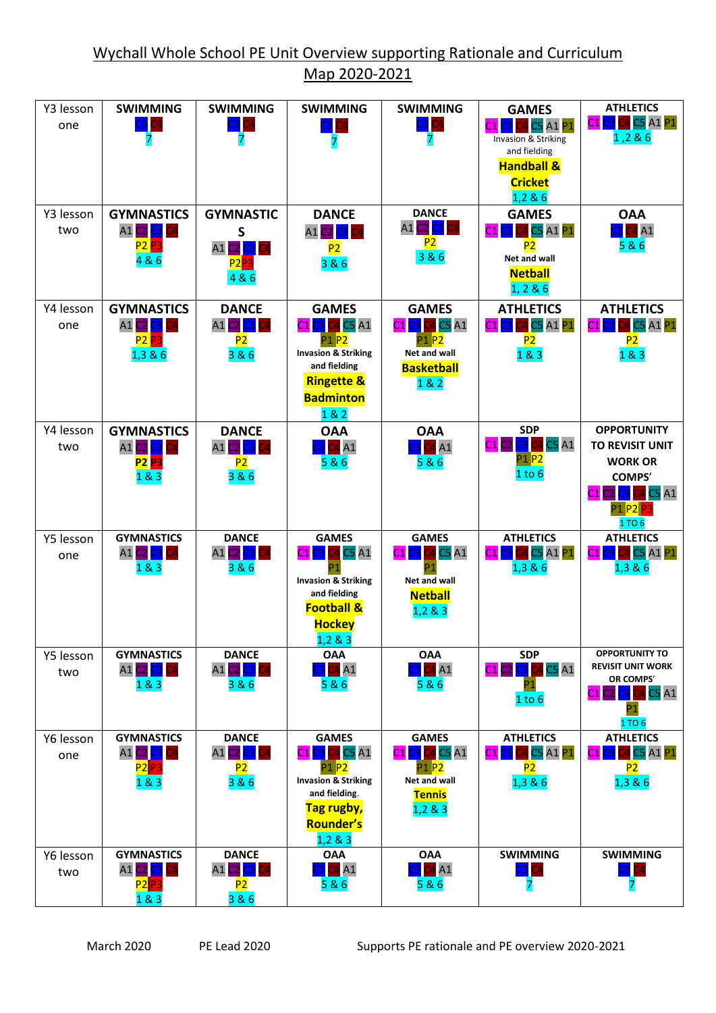| Y3 lesson<br>one | <b>SWIMMING</b><br>$C3$ $C4$<br>7                                                     | <b>SWIMMING</b><br>$C3$ $C4$                                                                  | <b>SWIMMING</b><br>$C3$ $C4$                                                                                                                               | <b>SWIMMING</b><br>$C3$ $C4$                                                                            | <b>GAMES</b><br>23 C4 C5 A1 P1<br>C <sub>1</sub><br>Invasion & Striking<br>and fielding<br><b>Handball &amp;</b><br><b>Cricket</b><br>1,2 & 6 | <b>ATHLETICS</b><br>C1 <mark>C3</mark> C4 C5 A1 P1<br>1,286                                                             |
|------------------|---------------------------------------------------------------------------------------|-----------------------------------------------------------------------------------------------|------------------------------------------------------------------------------------------------------------------------------------------------------------|---------------------------------------------------------------------------------------------------------|-----------------------------------------------------------------------------------------------------------------------------------------------|-------------------------------------------------------------------------------------------------------------------------|
| Y3 lesson<br>two | <b>GYMNASTICS</b><br>A1 C2 C3<br>C4<br><b>P2 P3</b><br>4 & 6                          | <b>GYMNASTIC</b><br>S<br>A1 <mark>C2 <mark>C3</mark> C4</mark><br>P2 <mark>P3</mark><br>4 & 6 | <b>DANCE</b><br>A1 C2 C3 C4<br>P <sub>2</sub><br>3 & 6                                                                                                     | <b>DANCE</b><br>C2 C3 C4<br>A1<br>P2<br>3 & 6                                                           | <b>GAMES</b><br>24 C5 A1 P1<br>P <sub>2</sub><br>Net and wall<br><b>Netball</b><br>1, 2 & 6                                                   | <b>OAA</b><br>24A1<br>5 & 6                                                                                             |
| Y4 lesson<br>one | <b>GYMNASTICS</b><br>A1 <mark>C2 <mark>C3</mark> C4</mark><br><b>P2 P3</b><br>1,3 & 6 | <b>DANCE</b><br>C2 <mark>C3 </mark> C4<br>A1<br>P2<br>3 & 6                                   | <b>GAMES</b><br>C1 <mark>C3</mark> C4 C5 A1<br>P1 P2<br><b>Invasion &amp; Striking</b><br>and fielding<br><b>Ringette &amp;</b><br><b>Badminton</b><br>182 | <b>GAMES</b><br>$C1$ $C3$<br>C4 C5 A1<br>P1 <mark>P2</mark><br>Net and wall<br><b>Basketball</b><br>182 | <b>ATHLETICS</b><br>24 C5 A1 P1<br>C1<br>P2<br>1 & 8 & 3                                                                                      | <b>ATHLETICS</b><br>24 C5 A1 P1<br>CS.<br>C1<br>P <sub>2</sub><br>1 & 83                                                |
| Y4 lesson<br>two | <b>GYMNASTICS</b><br>A1 C2 C3<br><b>P2 P3</b><br>1 & 8 & 3                            | <b>DANCE</b><br>$c2$ $c3$ $\vert$<br>A1<br>P2<br>3 & 6                                        | <b>OAA</b><br>C4A1<br>5 & 6                                                                                                                                | <b>OAA</b><br>24A1<br>5&6                                                                               | <b>SDP</b><br>C1 C2 C3 C4 C5 A1<br>P1 <mark>P2</mark><br>1 to 6                                                                               | <b>OPPORTUNITY</b><br>TO REVISIT UNIT<br><b>WORK OR</b><br>COMPS'<br>C1 C2 C3 C4 C5 A1<br>P1 <mark>P2</mark> P3<br>1TO6 |
| Y5 lesson<br>one | <b>GYMNASTICS</b><br>A1 C2 <mark>C3</mark><br>183                                     | <b>DANCE</b><br>A1 <mark>C2 <mark>C3</mark> C4</mark><br>3 & 6                                | <b>GAMES</b><br>C4 C5 A1<br>$C1$ $C3$ $\vert$<br><b>Invasion &amp; Striking</b><br>and fielding<br><b>Football &amp;</b><br><b>Hockey</b><br>$1,2 \& 3$    | <b>GAMES</b><br>C4 C5 A1<br>$C1$ $C3$<br>Net and wall<br><b>Netball</b><br>1,283                        | <b>ATHLETICS</b><br>C1 C3 C4 C5 A1 P1<br>1,3 & 6                                                                                              | <b>ATHLETICS</b><br>C4 C5 A1 <mark>P1</mark><br>$C1$ $C3$<br>1,3 & 6                                                    |
| Y5 lesson<br>two | <b>GYMNASTICS</b><br>A1 C2 C3<br>183                                                  | <b>DANCE</b><br>A1 C2 <mark>C3</mark><br>3 & 6                                                | <b>OAA</b><br>$\overline{1}$ A1<br>5 & 6                                                                                                                   | <b>OAA</b><br>24A1<br>5&6                                                                               | <b>SDP</b><br>$2$ C3<br>$24$ C5 A1<br>C1<br><b>P1</b><br>1 to 6                                                                               | <b>OPPORTUNITY TO</b><br><b>REVISIT UNIT WORK</b><br>OR COMPS'<br>C1 C2 C3 C4 C5 A1<br>P <sub>1</sub><br>1 TO 6         |
| Y6 lesson<br>one | <b>GYMNASTICS</b><br>A1 C2 C3<br>P <sub>2</sub> P <sub>3</sub><br>183                 | <b>DANCE</b><br>A1 C2 C3<br>P2<br>3 & 6                                                       | <b>GAMES</b><br>$C1$ (<br>C3<br>C4 C5 A1<br>$P1$ $P2$<br><b>Invasion &amp; Striking</b><br>and fielding.<br>Tag rugby,<br><b>Rounder's</b><br>1,2 & 8 & 3  | <b>GAMES</b><br>$C1$ $C3$<br>C4 C5 A1<br>P1 P2<br>Net and wall<br><b>Tennis</b><br>1,2 & 8 & 3          | <b>ATHLETICS</b><br><mark>33</mark> C4 C5 A1 P1<br>C1<br>P2<br>1,3 & 6                                                                        | <b>ATHLETICS</b><br>24 C5 A1 <mark>P1</mark><br>C1<br>٦3<br>P2<br>1,3 & 6                                               |
| Y6 lesson<br>two | <b>GYMNASTICS</b><br>A1 C2 C3<br>P2P3<br>1 & 3                                        | <b>DANCE</b><br>A1 C2 C3<br>P2<br>3 & 6                                                       | <b>OAA</b><br>$\overline{A1}$<br>5 & 6                                                                                                                     | <b>OAA</b><br>24A1<br>5&6                                                                               | <b>SWIMMING</b><br>$\mathbb{C}3$                                                                                                              | <b>SWIMMING</b><br>73                                                                                                   |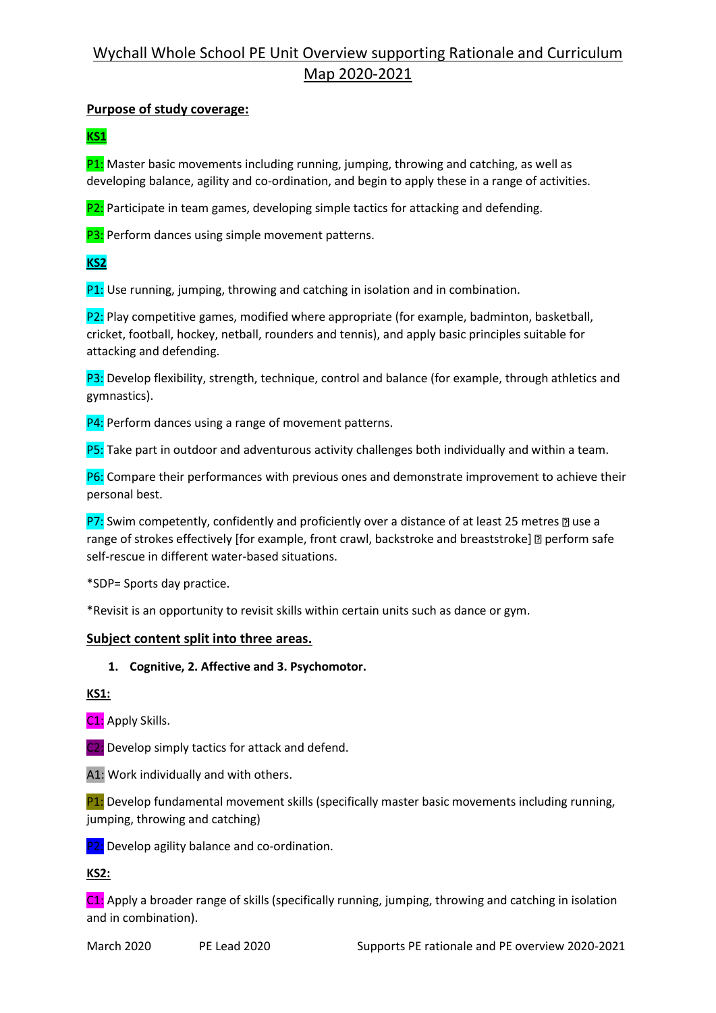## Wychall Whole School PE Unit Overview supporting Rationale and Curriculum Map 2020-2021

### **Purpose of study coverage:**

## **KS1**

 $P1:$  Master basic movements including running, jumping, throwing and catching, as well as developing balance, agility and co-ordination, and begin to apply these in a range of activities.

P2: Participate in team games, developing simple tactics for attacking and defending.

P3: Perform dances using simple movement patterns.

## **KS2**

P1: Use running, jumping, throwing and catching in isolation and in combination.

P2: Play competitive games, modified where appropriate (for example, badminton, basketball, cricket, football, hockey, netball, rounders and tennis), and apply basic principles suitable for attacking and defending.

P3: Develop flexibility, strength, technique, control and balance (for example, through athletics and gymnastics).

P4: Perform dances using a range of movement patterns.

P5: Take part in outdoor and adventurous activity challenges both individually and within a team.

P6: Compare their performances with previous ones and demonstrate improvement to achieve their personal best.

P7: Swim competently, confidently and proficiently over a distance of at least 25 metres  $\mathbb D$  use a range of strokes effectively [for example, front crawl, backstroke and breaststroke] [ perform safe self-rescue in different water-based situations.

\*SDP= Sports day practice.

\*Revisit is an opportunity to revisit skills within certain units such as dance or gym.

### **Subject content split into three areas.**

### **1. Cognitive, 2. Affective and 3. Psychomotor.**

**KS1:**

C1: Apply Skills.

C2: Develop simply tactics for attack and defend.

A1: Work individually and with others.

P1: Develop fundamental movement skills (specifically master basic movements including running, jumping, throwing and catching)

P2: Develop agility balance and co-ordination.

**KS2:**

C1: Apply a broader range of skills (specifically running, jumping, throwing and catching in isolation and in combination).